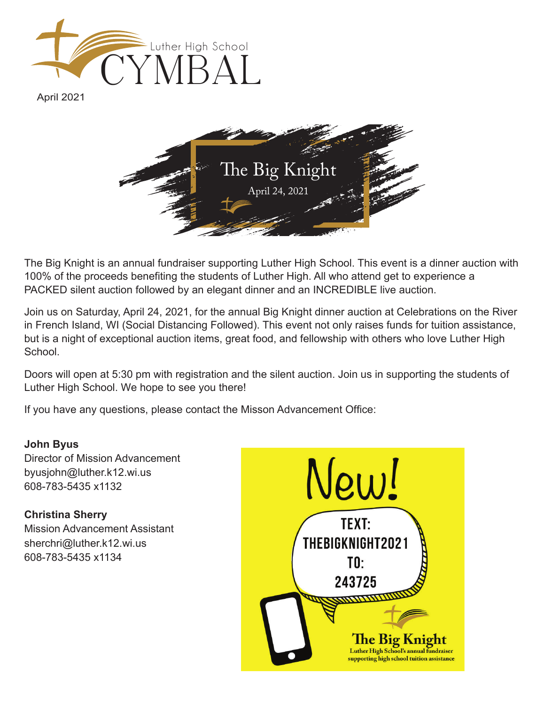

April 2021



The Big Knight is an annual fundraiser supporting Luther High School. This event is a dinner auction with 100% of the proceeds benefiting the students of Luther High. All who attend get to experience a PACKED silent auction followed by an elegant dinner and an INCREDIBLE live auction.

Join us on Saturday, April 24, 2021, for the annual Big Knight dinner auction at Celebrations on the River in French Island, WI (Social Distancing Followed). This event not only raises funds for tuition assistance, but is a night of exceptional auction items, great food, and fellowship with others who love Luther High **School** 

Doors will open at 5:30 pm with registration and the silent auction. Join us in supporting the students of Luther High School. We hope to see you there!

If you have any questions, please contact the Misson Advancement Office:

## **John Byus**

Director of Mission Advancement byusjohn@luther.k12.wi.us 608-783-5435 x1132

## **Christina Sherry**

Mission Advancement Assistant sherchri@luther.k12.wi.us 608-783-5435 x1134

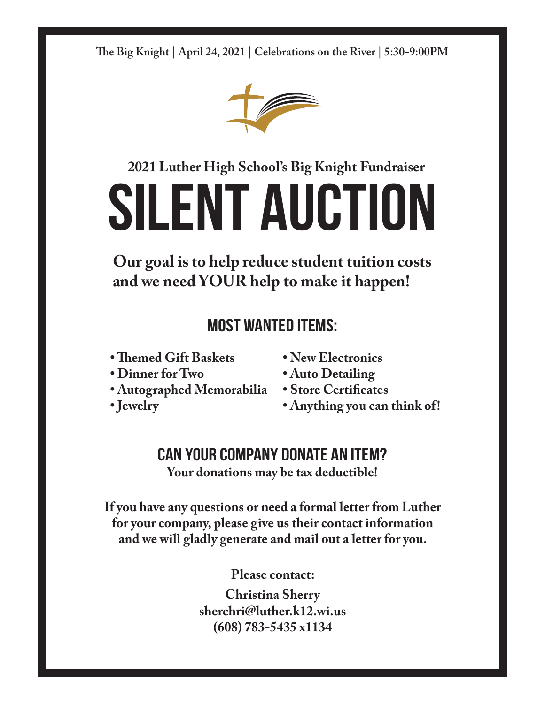**e Big Knight | April 24, 2021 | Celebrations on the River | 5:30-9:00PM**



## **2021 Luther High School's Big Knight Fundraiser**

# **Silent Auction**

**Our goal is to help reduce student tuition costs and we need YOUR help to make it happen!**

## **Most Wanted Items:**

- **Themed Gift Baskets**
- **Dinner for Two**
- **Autographed Memorabilia**
- **Jewelry**
- **New Electronics**
- **Auto Detailing**
- **Store Certificates**
- **Anything you can think of!**

## **Can your company donate an item?**

**Your donations may be tax deductible!**

**If you have any questions or need a formal letter from Luther for your company, please give us their contact information and we will gladly generate and mail out a letter for you.**

**Please contact:**

**Christina Sherry sherchri@luther.k12.wi.us (608) 783-5435 x1134**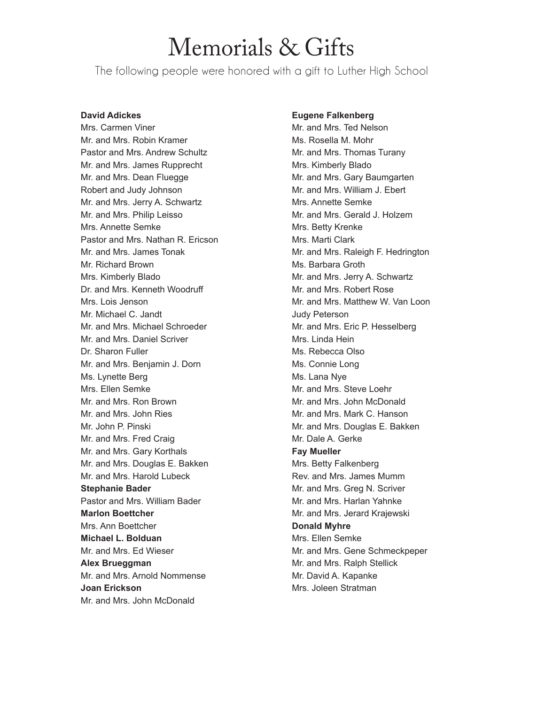# Memorials & Gifts

The following people were honored with a gift to Luther High School

#### **David Adickes**

Mrs. Carmen Viner Mr. and Mrs. Robin Kramer Pastor and Mrs. Andrew Schultz Mr. and Mrs. James Rupprecht Mr. and Mrs. Dean Fluegge Robert and Judy Johnson Mr. and Mrs. Jerry A. Schwartz Mr. and Mrs. Philip Leisso Mrs. Annette Semke Pastor and Mrs. Nathan R. Ericson Mr. and Mrs. James Tonak Mr. Richard Brown Mrs. Kimberly Blado Dr. and Mrs. Kenneth Woodruff Mrs. Lois Jenson Mr. Michael C. Jandt Mr. and Mrs. Michael Schroeder Mr. and Mrs. Daniel Scriver Dr. Sharon Fuller Mr. and Mrs. Benjamin J. Dorn Ms. Lynette Berg Mrs. Ellen Semke Mr. and Mrs. Ron Brown Mr. and Mrs. John Ries Mr. John P. Pinski Mr. and Mrs. Fred Craig Mr. and Mrs. Gary Korthals Mr. and Mrs. Douglas E. Bakken Mr. and Mrs. Harold Lubeck **Stephanie Bader** Pastor and Mrs. William Bader **Marlon Boettcher** Mrs. Ann Boettcher **Michael L. Bolduan** Mr. and Mrs. Ed Wieser **Alex Brueggman** Mr. and Mrs. Arnold Nommense **Joan Erickson** Mr. and Mrs. John McDonald

#### **Eugene Falkenberg**

Mr. and Mrs. Ted Nelson Ms. Rosella M. Mohr Mr. and Mrs. Thomas Turany Mrs. Kimberly Blado Mr. and Mrs. Gary Baumgarten Mr. and Mrs. William J. Ebert Mrs. Annette Semke Mr. and Mrs. Gerald J. Holzem Mrs. Betty Krenke Mrs. Marti Clark Mr. and Mrs. Raleigh F. Hedrington Ms. Barbara Groth Mr. and Mrs. Jerry A. Schwartz Mr. and Mrs. Robert Rose Mr. and Mrs. Matthew W. Van Loon Judy Peterson Mr. and Mrs. Eric P. Hesselberg Mrs. Linda Hein Ms. Rebecca Olso Ms. Connie Long Ms. Lana Nye Mr. and Mrs. Steve Loehr Mr. and Mrs. John McDonald Mr. and Mrs. Mark C. Hanson Mr. and Mrs. Douglas E. Bakken Mr. Dale A. Gerke **Fay Mueller** Mrs. Betty Falkenberg Rev. and Mrs. James Mumm Mr. and Mrs. Greg N. Scriver Mr. and Mrs. Harlan Yahnke Mr. and Mrs. Jerard Krajewski **Donald Myhre** Mrs. Ellen Semke Mr. and Mrs. Gene Schmeckpeper Mr. and Mrs. Ralph Stellick Mr. David A. Kapanke Mrs. Joleen Stratman